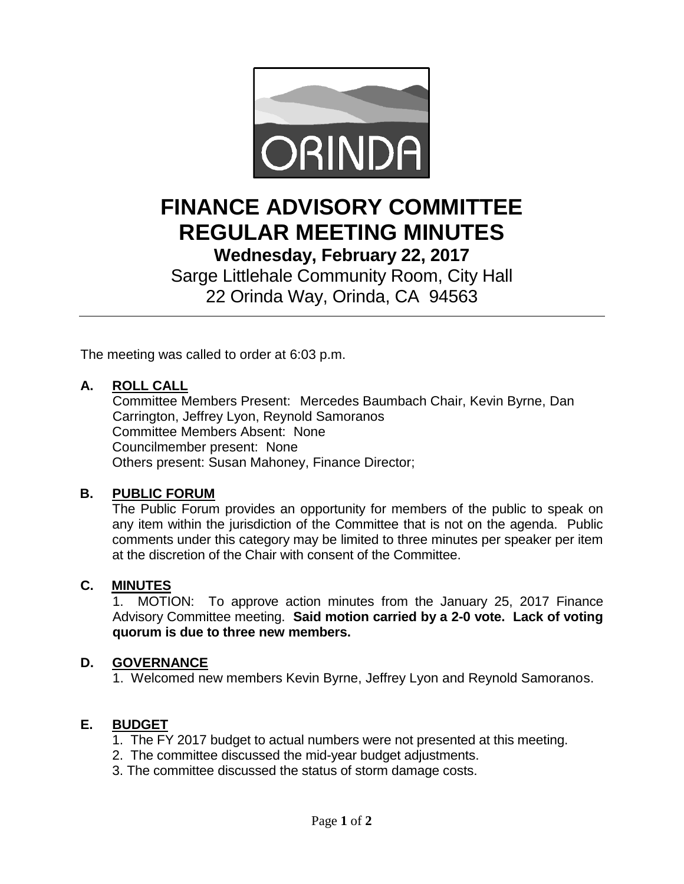

# **FINANCE ADVISORY COMMITTEE REGULAR MEETING MINUTES Wednesday, February 22, 2017**

Sarge Littlehale Community Room, City Hall 22 Orinda Way, Orinda, CA 94563

The meeting was called to order at 6:03 p.m.

### **A. ROLL CALL**

Committee Members Present: Mercedes Baumbach Chair, Kevin Byrne, Dan Carrington, Jeffrey Lyon, Reynold Samoranos Committee Members Absent: None Councilmember present: None Others present: Susan Mahoney, Finance Director;

#### **B. PUBLIC FORUM**

The Public Forum provides an opportunity for members of the public to speak on any item within the jurisdiction of the Committee that is not on the agenda. Public comments under this category may be limited to three minutes per speaker per item at the discretion of the Chair with consent of the Committee.

#### **C. MINUTES**

1. MOTION: To approve action minutes from the January 25, 2017 Finance Advisory Committee meeting. **Said motion carried by a 2-0 vote. Lack of voting quorum is due to three new members.**

#### **D. GOVERNANCE**

1. Welcomed new members Kevin Byrne, Jeffrey Lyon and Reynold Samoranos.

#### **E. BUDGET**

- 1. The FY 2017 budget to actual numbers were not presented at this meeting.
- 2. The committee discussed the mid-year budget adjustments.
- 3. The committee discussed the status of storm damage costs.